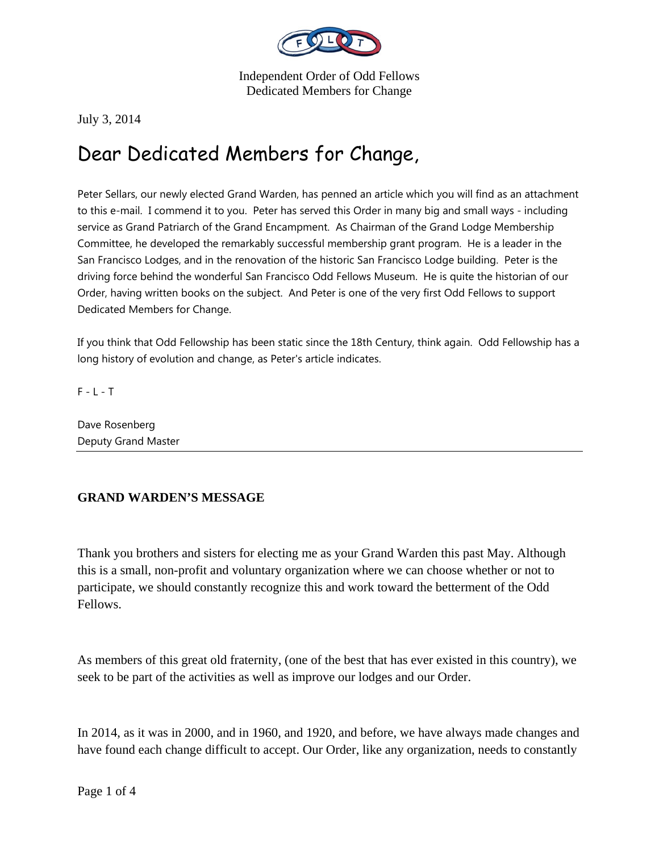

July 3, 2014

## Dear Dedicated Members for Change,

Peter Sellars, our newly elected Grand Warden, has penned an article which you will find as an attachment to this e-mail. I commend it to you. Peter has served this Order in many big and small ways - including service as Grand Patriarch of the Grand Encampment. As Chairman of the Grand Lodge Membership Committee, he developed the remarkably successful membership grant program. He is a leader in the San Francisco Lodges, and in the renovation of the historic San Francisco Lodge building. Peter is the driving force behind the wonderful San Francisco Odd Fellows Museum. He is quite the historian of our Order, having written books on the subject. And Peter is one of the very first Odd Fellows to support Dedicated Members for Change.

If you think that Odd Fellowship has been static since the 18th Century, think again. Odd Fellowship has a long history of evolution and change, as Peter's article indicates.

 $F - L - T$ 

Dave Rosenberg Deputy Grand Master

## **GRAND WARDEN'S MESSAGE**

Thank you brothers and sisters for electing me as your Grand Warden this past May. Although this is a small, non-profit and voluntary organization where we can choose whether or not to participate, we should constantly recognize this and work toward the betterment of the Odd Fellows.

As members of this great old fraternity, (one of the best that has ever existed in this country), we seek to be part of the activities as well as improve our lodges and our Order.

In 2014, as it was in 2000, and in 1960, and 1920, and before, we have always made changes and have found each change difficult to accept. Our Order, like any organization, needs to constantly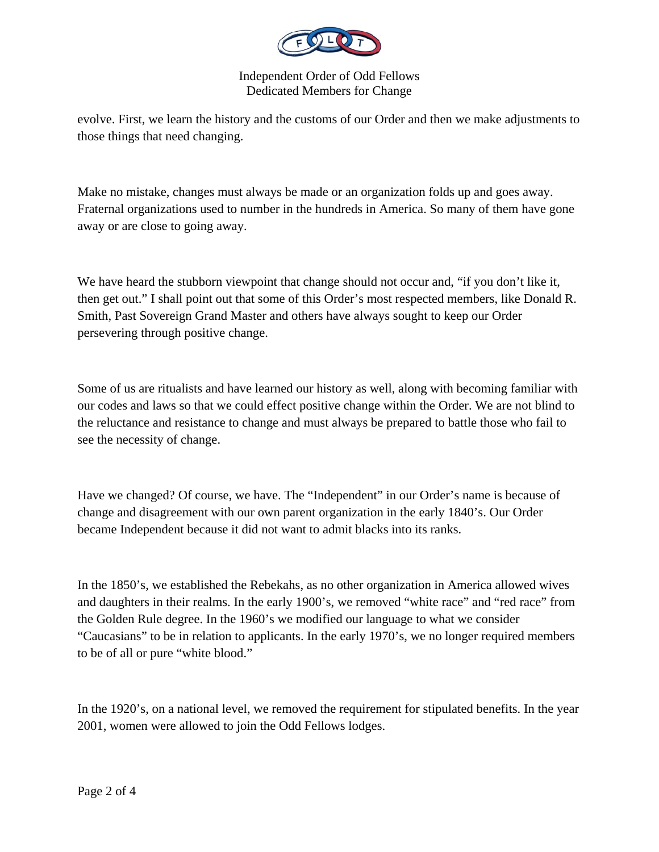

evolve. First, we learn the history and the customs of our Order and then we make adjustments to those things that need changing.

Make no mistake, changes must always be made or an organization folds up and goes away. Fraternal organizations used to number in the hundreds in America. So many of them have gone away or are close to going away.

We have heard the stubborn viewpoint that change should not occur and, "if you don't like it, then get out." I shall point out that some of this Order's most respected members, like Donald R. Smith, Past Sovereign Grand Master and others have always sought to keep our Order persevering through positive change.

Some of us are ritualists and have learned our history as well, along with becoming familiar with our codes and laws so that we could effect positive change within the Order. We are not blind to the reluctance and resistance to change and must always be prepared to battle those who fail to see the necessity of change.

Have we changed? Of course, we have. The "Independent" in our Order's name is because of change and disagreement with our own parent organization in the early 1840's. Our Order became Independent because it did not want to admit blacks into its ranks.

In the 1850's, we established the Rebekahs, as no other organization in America allowed wives and daughters in their realms. In the early 1900's, we removed "white race" and "red race" from the Golden Rule degree. In the 1960's we modified our language to what we consider "Caucasians" to be in relation to applicants. In the early 1970's, we no longer required members to be of all or pure "white blood."

In the 1920's, on a national level, we removed the requirement for stipulated benefits. In the year 2001, women were allowed to join the Odd Fellows lodges.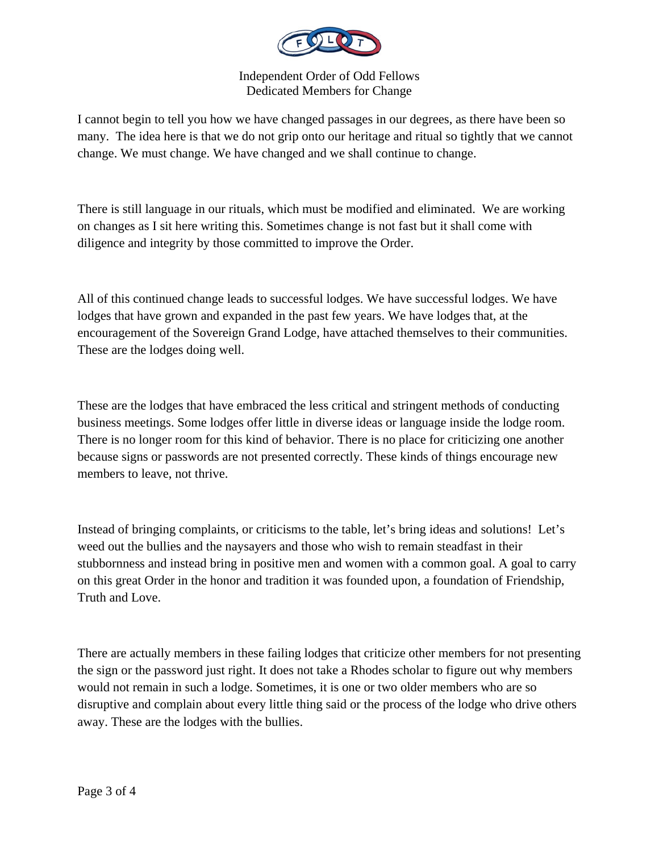

I cannot begin to tell you how we have changed passages in our degrees, as there have been so many. The idea here is that we do not grip onto our heritage and ritual so tightly that we cannot change. We must change. We have changed and we shall continue to change.

There is still language in our rituals, which must be modified and eliminated. We are working on changes as I sit here writing this. Sometimes change is not fast but it shall come with diligence and integrity by those committed to improve the Order.

All of this continued change leads to successful lodges. We have successful lodges. We have lodges that have grown and expanded in the past few years. We have lodges that, at the encouragement of the Sovereign Grand Lodge, have attached themselves to their communities. These are the lodges doing well.

These are the lodges that have embraced the less critical and stringent methods of conducting business meetings. Some lodges offer little in diverse ideas or language inside the lodge room. There is no longer room for this kind of behavior. There is no place for criticizing one another because signs or passwords are not presented correctly. These kinds of things encourage new members to leave, not thrive.

Instead of bringing complaints, or criticisms to the table, let's bring ideas and solutions! Let's weed out the bullies and the naysayers and those who wish to remain steadfast in their stubbornness and instead bring in positive men and women with a common goal. A goal to carry on this great Order in the honor and tradition it was founded upon, a foundation of Friendship, Truth and Love.

There are actually members in these failing lodges that criticize other members for not presenting the sign or the password just right. It does not take a Rhodes scholar to figure out why members would not remain in such a lodge. Sometimes, it is one or two older members who are so disruptive and complain about every little thing said or the process of the lodge who drive others away. These are the lodges with the bullies.